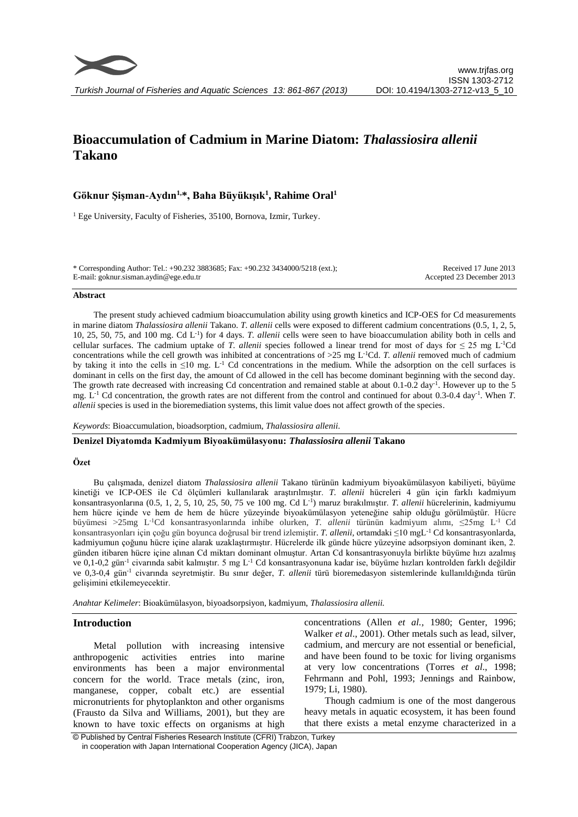

# **Bioaccumulation of Cadmium in Marine Diatom:** *Thalassiosira allenii* **Takano**

# **Göknur Şişman-Aydın1,\*, Baha Büyükışık<sup>1</sup> , Rahime Oral 1**

<sup>1</sup> Ege University, Faculty of Fisheries, 35100, Bornova, Izmir, Turkey.

| * Corresponding Author: Tel.: +90.232 3883685; Fax: +90.232 3434000/5218 (ext.); | Received 17 June 2013     |
|----------------------------------------------------------------------------------|---------------------------|
| E-mail: goknur.sisman.aydin@ege.edu.tr                                           | Accepted 23 December 2013 |

#### **Abstract**

The present study achieved cadmium bioaccumulation ability using growth kinetics and ICP-OES for Cd measurements in marine diatom *Thalassiosira allenii* Takano. *T. allenii* cells were exposed to different cadmium concentrations (0.5, 1, 2, 5, 10, 25, 50, 75, and 100 mg. Cd L-1 ) for 4 days. *T. allenii* cells were seen to have bioaccumulation ability both in cells and cellular surfaces. The cadmium uptake of *T. allenii* species followed a linear trend for most of days for  $\leq 25$  mg L<sup>-1</sup>Cd concentrations while the cell growth was inhibited at concentrations of  $>25$  mg L<sup>-1</sup>Cd. *T. allenii* removed much of cadmium by taking it into the cells in  $\leq 10$  mg. L<sup>-1</sup> Cd concentrations in the medium. While the adsorption on the cell surfaces is dominant in cells on the first day, the amount of Cd allowed in the cell has become dominant beginning with the second day. The growth rate decreased with increasing Cd concentration and remained stable at about 0.1-0.2 day<sup>-1</sup>. However up to the 5 mg. L<sup>-1</sup> Cd concentration, the growth rates are not different from the control and continued for about 0.3-0.4 day<sup>-1</sup>. When *T*. *allenii* species is used in the bioremediation systems, this limit value does not affect growth of the species.

*Keywords*: Bioaccumulation, bioadsorption, cadmium, *Thalassiosira allenii.*

**Denizel Diyatomda Kadmiyum Biyoakümülasyonu:** *Thalassiosira allenii* **Takano**

## **Özet**

Bu çalışmada, denizel diatom *Thalassiosira allenii* Takano türünün kadmiyum biyoakümülasyon kabiliyeti, büyüme kinetiği ve ICP-OES ile Cd ölçümleri kullanılarak araştırılmıştır. *T. allenii* hücreleri 4 gün için farklı kadmiyum konsantrasyonlarına (0.5, 1, 2, 5, 10, 25, 50, 75 ve 100 mg. Cd L<sup>-1</sup>) maruz bırakılmıştır. *T. allenii* hücrelerinin, kadmiyumu hem hücre içinde ve hem de hem de hücre yüzeyinde biyoakümülasyon yeteneğine sahip olduğu görülmüştür. Hücre büyümesi >25mg L -1Cd konsantrasyonlarında inhibe olurken, *T. allenii* türünün kadmiyum alımı, ≤25mg L -1 Cd konsantrasyonları için çoğu gün boyunca doğrusal bir trend izlemiştir. *T. allenii,* ortamdaki ≤10 mgL-1 Cd konsantrasyonlarda, kadmiyumun çoğunu hücre içine alarak uzaklaştırmıştır. Hücrelerde ilk günde hücre yüzeyine adsorpsiyon dominant iken, 2. günden itibaren hücre içine alınan Cd miktarı dominant olmuştur. Artan Cd konsantrasyonuyla birlikte büyüme hızı azalmış ve 0,1-0,2 gün<sup>-1</sup> civarında sabit kalmıştır. 5 mg L<sup>-1</sup> Cd konsantrasyonuna kadar ise, büyüme hızları kontrolden farklı değildir ve 0,3-0,4 gün<sup>-1</sup> civarında seyretmiştir. Bu sınır değer, *T. allenii* türü bioremedasyon sistemlerinde kullanıldığında türün gelişimini etkilemeyecektir.

*Anahtar Kelimeler*: Bioakümülasyon, biyoadsorpsiyon, kadmiyum, *Thalassiosira allenii.*

## **Introduction**

Metal pollution with increasing intensive anthropogenic activities entries into marine environments has been a major environmental concern for the world. Trace metals (zinc, iron, manganese, copper, cobalt etc.) are essential micronutrients for phytoplankton and other organisms (Frausto da Silva and Williams, 2001), but they are known to have toxic effects on organisms at high concentrations (Allen *et al.,* 1980; Genter, 1996; Walker *et al*., 2001). Other metals such as lead, silver, cadmium, and mercury are not essential or beneficial, and have been found to be toxic for living organisms at very low concentrations (Torres *et al*., 1998; Fehrmann and Pohl, 1993; Jennings and Rainbow, 1979; Li, 1980).

Though cadmium is one of the most dangerous heavy metals in aquatic ecosystem, it has been found that there exists a metal enzyme characterized in a

<sup>©</sup> Published by Central Fisheries Research Institute (CFRI) Trabzon, Turkey in cooperation with Japan International Cooperation Agency (JICA), Japan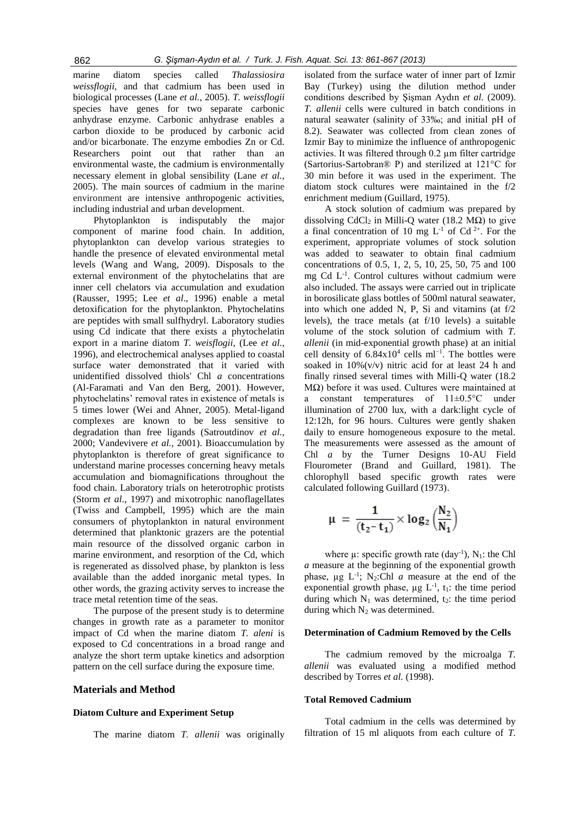marine diatom species called *Thalassiosira weissflogii,* and that cadmium has been used in biological processes (Lane *et al.*, 2005). *T. weissflogii*  species have genes for two separate carbonic anhydrase enzyme. Carbonic anhydrase enables a carbon dioxide to be produced by carbonic acid and/or bicarbonate. The enzyme embodies Zn or Cd. Researchers point out that rather than an environmental waste, the cadmium is environmentally necessary element in global sensibility (Lane *et al.*, 2005). The main sources of cadmium in the marine environment are intensive anthropogenic activities, including industrial and urban development.

Phytoplankton is indisputably the major component of marine food chain. In addition, phytoplankton can develop various strategies to handle the presence of elevated environmental metal levels (Wang and Wang, 2009). Disposals to the external environment of the phytochelatins that are inner cell chelators via accumulation and exudation (Rausser, 1995; Lee *et al*., 1996) enable a metal detoxification for the phytoplankton. Phytochelatins are peptides with small sulfhydryl. Laboratory studies using Cd indicate that there exists a phytochelatin export in a marine diatom *T. weisflogii*, (Lee *et al.*, 1996), and electrochemical analyses applied to coastal surface water demonstrated that it varied with unidentified dissolved thiols' Chl *a* concentrations (Al-Faramati and Van den Berg, 2001). However, phytochelatins' removal rates in existence of metals is 5 times lower (Wei and Ahner, 2005). Metal-ligand complexes are known to be less sensitive to degradation than free ligands (Satroutdinov *et al.*, 2000; Vandevivere *et al.*, 2001). Bioaccumulation by phytoplankton is therefore of great significance to understand marine processes concerning heavy metals accumulation and biomagnifications throughout the food chain. Laboratory trials on heterotrophic protists (Storm *et al*., 1997) and mixotrophic nanoflagellates (Twiss and Campbell, 1995) which are the main consumers of phytoplankton in natural environment determined that planktonic grazers are the potential main resource of the dissolved organic carbon in marine environment, and resorption of the Cd, which is regenerated as dissolved phase, by plankton is less available than the added inorganic metal types. In other words, the grazing activity serves to increase the trace metal retention time of the seas.

The purpose of the present study is to determine changes in growth rate as a parameter to monitor impact of Cd when the marine diatom *T. aleni* is exposed to Cd concentrations in a broad range and analyze the short term uptake kinetics and adsorption pattern on the cell surface during the exposure time.

# **Materials and Method**

## **Diatom Culture and Experiment Setup**

The marine diatom *T. allenii* was originally

isolated from the surface water of inner part of Izmir Bay (Turkey) using the dilution method under conditions described by Şişman Aydın *et al.* (2009). *T. allenii* cells were cultured in batch conditions in natural seawater (salinity of 33‰; and initial pH of 8.2). Seawater was collected from clean zones of Izmir Bay to minimize the influence of anthropogenic activies. It was filtered through 0.2 µm filter cartridge (Sartorius-Sartobran® P) and sterilized at 121°C for 30 min before it was used in the experiment. The diatom stock cultures were maintained in the f/2 enrichment medium (Guillard, 1975).

A stock solution of cadmium was prepared by dissolving CdCl<sub>2</sub> in Milli-O water (18.2 M $\Omega$ ) to give a final concentration of 10 mg  $L^{-1}$  of Cd<sup>2+</sup>. For the experiment, appropriate volumes of stock solution was added to seawater to obtain final cadmium concentrations of 0.5, 1, 2, 5, 10, 25, 50, 75 and 100 mg Cd L-1 . Control cultures without cadmium were also included. The assays were carried out in triplicate in borosilicate glass bottles of 500ml natural seawater, into which one added N, P, Si and vitamins (at f/2 levels), the trace metals (at f/10 levels) a suitable volume of the stock solution of cadmium with *T. allenii* (in mid-exponential growth phase) at an initial cell density of  $6.84 \times 10^4$  cells ml<sup>-1</sup>. The bottles were soaked in  $10\%$  (v/v) nitric acid for at least 24 h and finally rinsed several times with Milli-Q water (18.2 MΩ) before it was used. Cultures were maintained at a constant temperatures of 11±0.5°C under illumination of 2700 lux, with a dark:light cycle of 12:12h, for 96 hours. Cultures were gently shaken daily to ensure homogeneous exposure to the metal. The measurements were assessed as the amount of Chl *a* by the Turner Designs 10-AU Field Flourometer (Brand and Guillard, 1981). The chlorophyll based specific growth rates were calculated following Guillard (1973).

$$
\mu\,=\,\frac{1}{(t_2\text{-}t_1)}\!\times\! \log_2\Big(\!\frac{N_2}{N_1}\!\Big)
$$

where  $\mu$ : specific growth rate (day<sup>-1</sup>), N<sub>1</sub>: the Chl *a* measure at the beginning of the exponential growth phase,  $\mu$ g L<sup>-1</sup>; N<sub>2</sub>:Chl *a* measure at the end of the exponential growth phase,  $\mu$ g L<sup>-1</sup>, t<sub>1</sub>: the time period during which  $N_1$  was determined,  $t_2$ : the time period during which  $N_2$  was determined.

# **Determination of Cadmium Removed by the Cells**

The cadmium removed by the microalga *T. allenii* was evaluated using a modified method described by Torres *et al.* (1998).

# **Total Removed Cadmium**

Total cadmium in the cells was determined by filtration of 15 ml aliquots from each culture of *T.*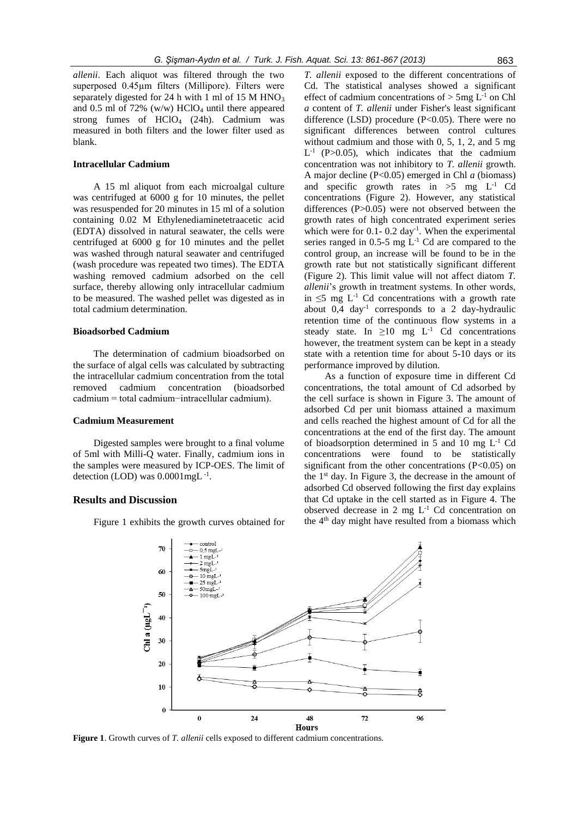*allenii*. Each aliquot was filtered through the two superposed 0.45µm filters (Millipore). Filters were separately digested for 24 h with 1 ml of 15 M  $HNO<sub>3</sub>$ and 0.5 ml of 72% (w/w) HClO<sub>4</sub> until there appeared strong fumes of  $HCIO<sub>4</sub>$  (24h). Cadmium was measured in both filters and the lower filter used as blank.

# **Intracellular Cadmium**

A 15 ml aliquot from each microalgal culture was centrifuged at 6000 g for 10 minutes, the pellet was resuspended for 20 minutes in 15 ml of a solution containing 0.02 M Ethylenediaminetetraacetic acid (EDTA) dissolved in natural seawater, the cells were centrifuged at 6000 g for 10 minutes and the pellet was washed through natural seawater and centrifuged (wash procedure was repeated two times). The EDTA washing removed cadmium adsorbed on the cell surface, thereby allowing only intracellular cadmium to be measured. The washed pellet was digested as in total cadmium determination.

#### **Bioadsorbed Cadmium**

The determination of cadmium bioadsorbed on the surface of algal cells was calculated by subtracting the intracellular cadmium concentration from the total removed cadmium concentration (bioadsorbed cadmium = total cadmium−intracellular cadmium).

# **Cadmium Measurement**

Digested samples were brought to a final volume of 5ml with Milli-Q water. Finally, cadmium ions in the samples were measured by ICP-OES. The limit of detection (LOD) was 0.0001mgL<sup>-1</sup>.

## **Results and Discussion**

Figure 1 exhibits the growth curves obtained for

*T. allenii* exposed to the different concentrations of Cd. The statistical analyses showed a significant effect of cadmium concentrations of  $>$  5mg L<sup>-1</sup> on Chl *a* content of *T. allenii* under Fisher's least significant difference (LSD) procedure  $(P<0.05)$ . There were no significant differences between control cultures without cadmium and those with 0, 5, 1, 2, and 5 mg  $L^{-1}$  (P>0.05), which indicates that the cadmium concentration was not inhibitory to *T. allenii* growth. A major decline (P<0.05) emerged in Chl *a* (biomass) and specific growth rates in  $>5$  mg  $L^{-1}$  Cd concentrations (Figure 2). However, any statistical differences (P>0.05) were not observed between the growth rates of high concentrated experiment series which were for  $0.1 - 0.2$  day<sup>-1</sup>. When the experimental series ranged in  $0.5\n-5$  mg  $L^{-1}$  Cd are compared to the control group, an increase will be found to be in the growth rate but not statistically significant different (Figure 2). This limit value will not affect diatom *T. allenii*'s growth in treatment systems. In other words, in  $≤5$  mg  $L<sup>-1</sup>$  Cd concentrations with a growth rate about 0,4 day-1 corresponds to a 2 day-hydraulic retention time of the continuous flow systems in a steady state. In  $\geq 10$  mg L<sup>-1</sup> Cd concentrations however, the treatment system can be kept in a steady state with a retention time for about 5-10 days or its performance improved by dilution.

As a function of exposure time in different Cd concentrations, the total amount of Cd adsorbed by the cell surface is shown in Figure 3. The amount of adsorbed Cd per unit biomass attained a maximum and cells reached the highest amount of Cd for all the concentrations at the end of the first day. The amount of bioadsorption determined in 5 and 10 mg  $L^{-1}$  Cd concentrations were found to be statistically significant from the other concentrations  $(P<0.05)$  on the  $1<sup>st</sup>$  day. In Figure 3, the decrease in the amount of adsorbed Cd observed following the first day explains that Cd uptake in the cell started as in Figure 4. The observed decrease in 2 mg  $L^{-1}$  Cd concentration on the  $4<sup>th</sup>$  day might have resulted from a biomass which



**Figure 1**. Growth curves of *T. allenii* cells exposed to different cadmium concentrations.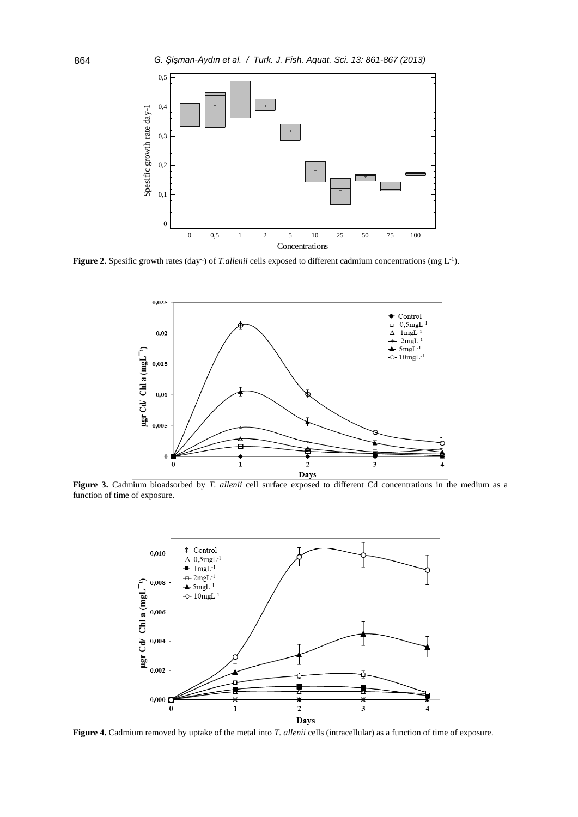

**Figure 2.** Spesific growth rates (day<sup>-1</sup>) of *T.allenii* cells exposed to different cadmium concentrations (mg  $L^{-1}$ ).



**Figure 3.** Cadmium bioadsorbed by *T. allenii* cell surface exposed to different Cd concentrations in the medium as a function of time of exposure.



**Figure 4.** Cadmium removed by uptake of the metal into *T. allenii* cells (intracellular) as a function of time of exposure.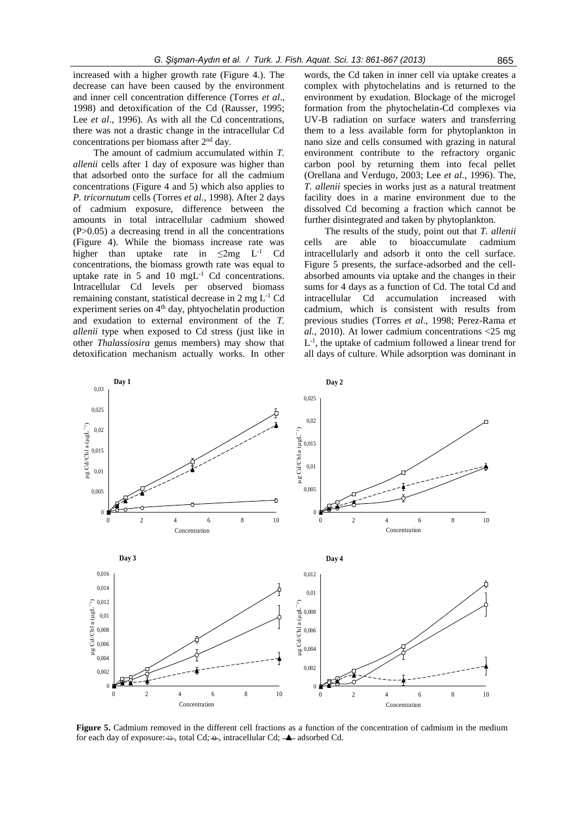increased with a higher growth rate (Figure 4.). The decrease can have been caused by the environment and inner cell concentration difference (Torres *et al*., 1998) and detoxification of the Cd (Rausser, 1995; Lee *et al.*, 1996). As with all the Cd concentrations, there was not a drastic change in the intracellular Cd concentrations per biomass after 2nd day.

The amount of cadmium accumulated within *T. allenii* cells after 1 day of exposure was higher than that adsorbed onto the surface for all the cadmium concentrations (Figure 4 and 5) which also applies to *P. tricornutum* cells (Torres *et al.*, 1998). After 2 days of cadmium exposure, difference between the amounts in total intracellular cadmium showed  $(P>0.05)$  a decreasing trend in all the concentrations (Figure 4). While the biomass increase rate was higher than uptake rate in  $\leq 2mg$  L<sup>-1</sup> C<sub>d</sub> concentrations, the biomass growth rate was equal to uptake rate in 5 and 10 mgL-1 Cd concentrations. Intracellular Cd levels per observed biomass remaining constant, statistical decrease in  $2 \text{ mg } L^{-1}$  Cd experiment series on  $4<sup>th</sup>$  day, phtyochelatin production and exudation to external environment of the *T. allenii* type when exposed to Cd stress (just like in other *Thalassiosira* genus members) may show that detoxification mechanism actually works. In other

words, the Cd taken in inner cell via uptake creates a complex with phytochelatins and is returned to the environment by exudation. Blockage of the microgel formation from the phytochelatin-Cd complexes via UV-B radiation on surface waters and transferring them to a less available form for phytoplankton in nano size and cells consumed with grazing in natural environment contribute to the refractory organic carbon pool by returning them into fecal pellet (Orellana and Verdugo, 2003; Lee *et al.*, 1996). The, *T. allenii* species in works just as a natural treatment facility does in a marine environment due to the dissolved Cd becoming a fraction which cannot be further disintegrated and taken by phytoplankton.

The results of the study, point out that *T. allenii*  cells are able to bioaccumulate cadmium intracellularly and adsorb it onto the cell surface. Figure 5 presents, the surface-adsorbed and the cellabsorbed amounts via uptake and the changes in their sums for 4 days as a function of Cd. The total Cd and intracellular Cd accumulation increased with cadmium, which is consistent with results from previous studies (Torres *et al*., 1998; Perez-Rama *et al.*, 2010). At lower cadmium concentrations <25 mg L<sup>-1</sup>, the uptake of cadmium followed a linear trend for all days of culture. While adsorption was dominant in



**Figure 5.** Cadmium removed in the different cell fractions as a function of the concentration of cadmium in the medium for each day of exposure: <del>□</del>, total Cd;  $\rightarrow$ , intracellular Cd;  $\rightarrow$  adsorbed Cd.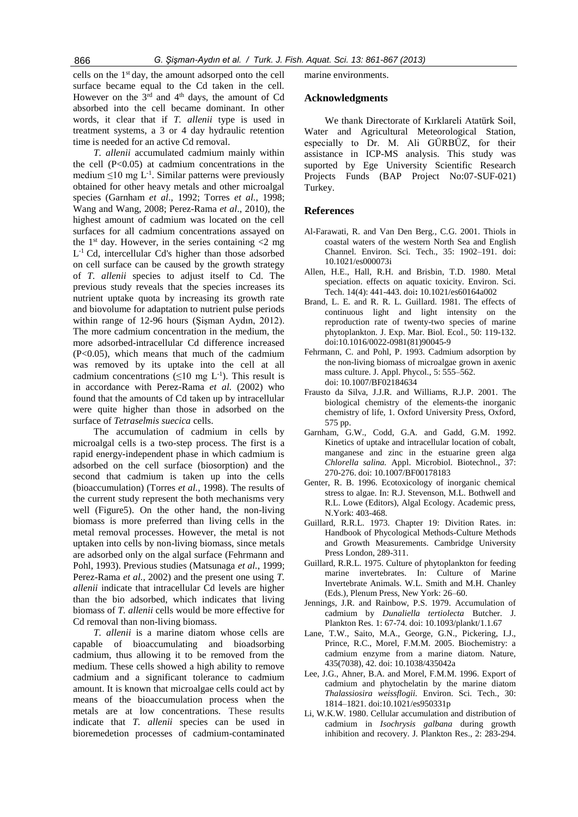cells on the 1st day, the amount adsorped onto the cell surface became equal to the Cd taken in the cell. However on the  $3^{rd}$  and  $4^{th}$  days, the amount of Cd absorbed into the cell became dominant. In other words, it clear that if *T. allenii* type is used in treatment systems, a 3 or 4 day hydraulic retention time is needed for an active Cd removal.

*T. allenii* accumulated cadmium mainly within the cell  $(P<0.05)$  at cadmium concentrations in the medium  $\leq 10$  mg L<sup>-1</sup>. Similar patterns were previously obtained for other heavy metals and other microalgal species (Garnham *et al*., 1992; Torres *et al.*, 1998; Wang and Wang, 2008; Perez-Rama *et al*., 2010), the highest amount of cadmium was located on the cell surfaces for all cadmium concentrations assayed on the 1<sup>st</sup> day. However, in the series containing  $\langle 2 \rangle$  mg L -1 Cd, intercellular Cd's higher than those adsorbed on cell surface can be caused by the growth strategy of *T. allenii* species to adjust itself to Cd. The previous study reveals that the species increases its nutrient uptake quota by increasing its growth rate and biovolume for adaptation to nutrient pulse periods within range of 12-96 hours (Şişman Aydın, 2012). The more cadmium concentration in the medium, the more adsorbed-intracellular Cd difference increased (P<0.05), which means that much of the cadmium was removed by its uptake into the cell at all cadmium concentrations  $(\leq 10 \text{ mg } L^{-1})$ . This result is in accordance with Perez-Rama *et al.* (2002) who found that the amounts of Cd taken up by intracellular were quite higher than those in adsorbed on the surface of *Tetraselmis suecica* cells.

The accumulation of cadmium in cells by microalgal cells is a two-step process. The first is a rapid energy-independent phase in which cadmium is adsorbed on the cell surface (biosorption) and the second that cadmium is taken up into the cells (bioaccumulation) (Torres *et al.*, 1998). The results of the current study represent the both mechanisms very well (Figure5). On the other hand, the non-living biomass is more preferred than living cells in the metal removal processes. However, the metal is not uptaken into cells by non-living biomass, since metals are adsorbed only on the algal surface (Fehrmann and Pohl, 1993). Previous studies (Matsunaga *et al.*, 1999; Perez-Rama *et al.*, 2002) and the present one using *T. allenii* indicate that intracellular Cd levels are higher than the bio adsorbed, which indicates that living biomass of *T. allenii* cells would be more effective for Cd removal than non-living biomass.

*T. allenii* is a marine diatom whose cells are capable of bioaccumulating and bioadsorbing cadmium, thus allowing it to be removed from the medium. These cells showed a high ability to remove cadmium and a significant tolerance to cadmium amount. It is known that microalgae cells could act by means of the bioaccumulation process when the metals are at low concentrations. These results indicate that *T. allenii* species can be used in bioremedetion processes of cadmium-contaminated marine environments.

# **Acknowledgments**

We thank Directorate of Kırklareli Atatürk Soil, Water and Agricultural Meteorological Station, especially to Dr. M. Ali GÜRBÜZ, for their assistance in ICP-MS analysis. This study was suported by Ege University Scientific Research Projects Funds (BAP Project No:07-SUF-021) Turkey.

# **References**

- Al-Farawati, R. and Van Den Berg., C.G. 2001. Thiols in coastal waters of the western North Sea and English Channel. Environ. Sci. Tech., 35: 1902–191. doi: 10.1021/es000073i
- Allen, H.E., Hall, R.H. and Brisbin, T.D. 1980. Metal speciation. effects on aquatic toxicity. Environ. Sci. Tech. 14(4): 441-443. doi**:** 10.1021/es60164a002
- Brand, L. E. and R. R. L. Guillard. 1981. The effects of continuous light and light intensity on the reproduction rate of twenty-two species of marine phytoplankton. J. Exp. Mar. Biol. Ecol., 50: 119-132. doi:10.1016/0022-0981(81)90045-9
- Fehrmann, C. and Pohl, P. 1993. Cadmium adsorption by the non-living biomass of microalgae grown in axenic mass culture. J. Appl. Phycol., 5: 555–562. doi: 10.1007/BF02184634
- Frausto da Silva, J.J.R. and Williams, R.J.P. 2001. The biological chemistry of the elements-the inorganic chemistry of life, 1. Oxford University Press, Oxford, 575 pp.
- Garnham, G.W., Codd, G.A. and Gadd, G.M. 1992. Kinetics of uptake and intracellular location of cobalt, manganese and zinc in the estuarine green alga *Chlorella salina.* Appl. Microbiol. Biotechnol., 37: 270-276. doi: 10.1007/BF00178183
- Genter, R. B. 1996. Ecotoxicology of inorganic chemical stress to algae. In: R.J. Stevenson, M.L. Bothwell and R.L. Lowe (Editors), Algal Ecology. Academic press, N.York: 403-468.
- Guillard, R.R.L. 1973. Chapter 19: Divition Rates. in: Handbook of Phycological Methods-Culture Methods and Growth Measurements. Cambridge University Press London, 289-311.
- Guillard, R.R.L. 1975. Culture of phytoplankton for feeding marine invertebrates. In: Culture of Marine Invertebrate Animals. W.L. Smith and M.H. Chanley (Eds.), Plenum Press, New York: 26–60.
- Jennings, J.R. and Rainbow, P.S. 1979. Accumulation of cadmium by *Dunaliella tertiolecta* Butcher. J. Plankton Res. 1: 67-74. doi: 10.1093/plankt/1.1.67
- Lane, T.W., Saito, M.A., George, G.N., Pickering, I.J., Prince, R.C., Morel, F.M.M. 2005. Biochemistry: a cadmium enzyme from a marine diatom. Nature, 435(7038), 42. doi: 10.1038/435042a
- Lee, J.G., Ahner, B.A. and Morel, F.M.M. 1996. Export of cadmium and phytochelatin by the marine diatom *Thalassiosira weissflogii.* Environ. Sci. Tech., 30: 1814–1821. doi:10.1021/es950331p
- Li, W.K.W. 1980. Cellular accumulation and distribution of cadmium in *Isochrysis galbana* during growth inhibition and recovery. J. Plankton Res., 2: 283-294.